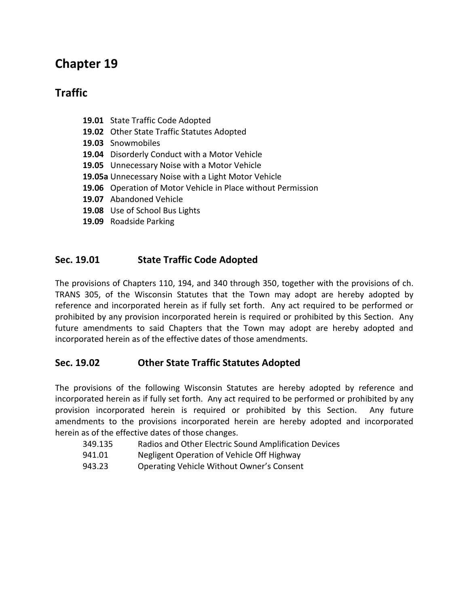# **Chapter 19**

# **Traffic**

- **19.01** State Traffic Code Adopted
- **19.02** Other State Traffic Statutes Adopted
- **19.03** Snowmobiles
- **19.04** Disorderly Conduct with a Motor Vehicle
- **19.05** Unnecessary Noise with a Motor Vehicle
- **19.05a** Unnecessary Noise with a Light Motor Vehicle
- **19.06** Operation of Motor Vehicle in Place without Permission
- **19.07** Abandoned Vehicle
- **19.08** Use of School Bus Lights
- **19.09** Roadside Parking

# **Sec. 19.01 State Traffic Code Adopted**

The provisions of Chapters 110, 194, and 340 through 350, together with the provisions of ch. TRANS 305, of the Wisconsin Statutes that the Town may adopt are hereby adopted by reference and incorporated herein as if fully set forth. Any act required to be performed or prohibited by any provision incorporated herein is required or prohibited by this Section. Any future amendments to said Chapters that the Town may adopt are hereby adopted and incorporated herein as of the effective dates of those amendments.

# **Sec. 19.02 Other State Traffic Statutes Adopted**

The provisions of the following Wisconsin Statutes are hereby adopted by reference and incorporated herein as if fully set forth. Any act required to be performed or prohibited by any provision incorporated herein is required or prohibited by this Section. Any future amendments to the provisions incorporated herein are hereby adopted and incorporated herein as of the effective dates of those changes.

- 349.135 Radios and Other Electric Sound Amplification Devices
- 941.01 Negligent Operation of Vehicle Off Highway
- 943.23 Operating Vehicle Without Owner's Consent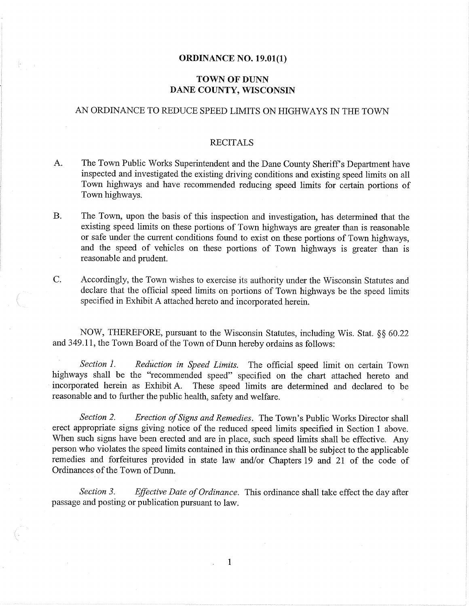### **ORDINANCE NO. 19.01(1)**

## **TOWN OF DUNN** DANE COUNTY, WISCONSIN

## AN ORDINANCE TO REDUCE SPEED LIMITS ON HIGHWAYS IN THE TOWN

#### **RECITALS**

- The Town Public Works Superintendent and the Dane County Sheriff's Department have A. inspected and investigated the existing driving conditions and existing speed limits on all Town highways and have recommended reducing speed limits for certain portions of Town highways.
- **B.** The Town, upon the basis of this inspection and investigation, has determined that the existing speed limits on these portions of Town highways are greater than is reasonable or safe under the current conditions found to exist on these portions of Town highways. and the speed of vehicles on these portions of Town highways is greater than is reasonable and prudent.

C.

Accordingly, the Town wishes to exercise its authority under the Wisconsin Statutes and declare that the official speed limits on portions of Town highways be the speed limits specified in Exhibit A attached hereto and incorporated herein.

NOW, THEREFORE, pursuant to the Wisconsin Statutes, including Wis. Stat. §§ 60.22 and 349.11, the Town Board of the Town of Dunn hereby ordains as follows:

Section 1. Reduction in Speed Limits. The official speed limit on certain Town highways shall be the "recommended speed" specified on the chart attached hereto and incorporated herein as Exhibit A. These speed limits are determined and declared to be reasonable and to further the public health, safety and welfare.

Erection of Signs and Remedies. The Town's Public Works Director shall Section 2. erect appropriate signs giving notice of the reduced speed limits specified in Section 1 above. When such signs have been erected and are in place, such speed limits shall be effective. Any person who violates the speed limits contained in this ordinance shall be subject to the applicable remedies and forfeitures provided in state law and/or Chapters 19 and 21 of the code of Ordinances of the Town of Dunn.

Section 3. Effective Date of Ordinance. This ordinance shall take effect the day after passage and posting or publication pursuant to law.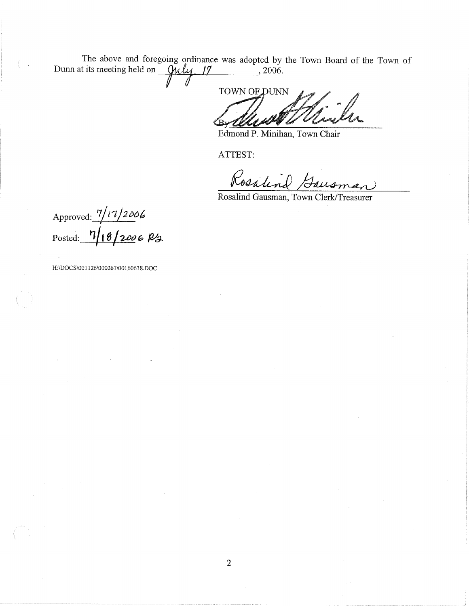The above and foregoing ordinance was adopted by the Town Board of the Town of Dunn at its meeting held on *Quly* 17  $\frac{1}{2006}$ 

TOWN OF DUNN

Edmond P. Minihan, Town Chair

ATTEST:

Rosalind Gaus

Rosalind Gausman, Town Clerk/Treasurer

Approved:  $\frac{7}{17}$ 2006<br>Posted:  $\frac{7}{18}$ 2006 PS

H:\DOCS\001126\000261\00160638.DOC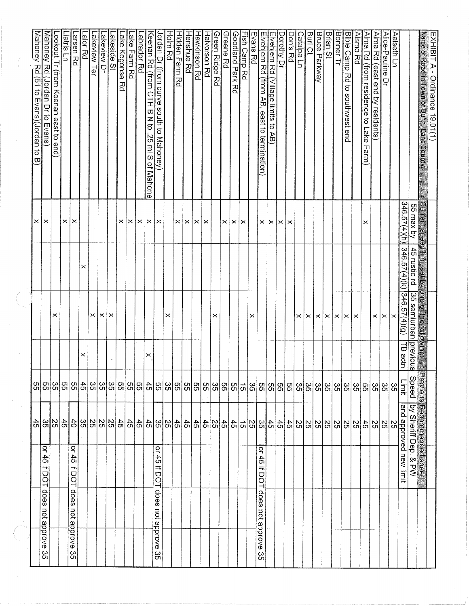|                            |                                                 |                                           | 99              |          |                       |                                                  | ×              | Mahoney Rd (51 to Evans)(Jordan to B)                        |
|----------------------------|-------------------------------------------------|-------------------------------------------|-----------------|----------|-----------------------|--------------------------------------------------|----------------|--------------------------------------------------------------|
| does<br>not approve<br>ပ္ပ | ă<br>45<br>ᆍ<br>DOT                             | 위없은                                       | ဌု              |          |                       |                                                  | $\times$       | Mahoney Rd (Jordan Dr to Evans                               |
|                            |                                                 |                                           | 35              |          | ×                     |                                                  |                | <u>-ookout Tr (from Keenan east to end)</u>                  |
|                            |                                                 |                                           | ခြင်္သ          |          |                       |                                                  | ×              | Liatris Ln                                                   |
| does not approve<br>ပ္ပ    | $\overline{S}$<br>$\ddot{5}$<br>$\equiv$<br>DOT | 위용                                        | S5              |          |                       |                                                  | $\times$       | arsen Rd                                                     |
|                            |                                                 | 35                                        | 45              | ×        |                       | ×                                                |                | alor Rd                                                      |
|                            |                                                 |                                           |                 |          | ×                     |                                                  |                | akeview Ter                                                  |
|                            |                                                 | $\frac{25}{25}$                           | ခြင်္လ          |          | $\times$              |                                                  |                | akeview Dr                                                   |
|                            |                                                 |                                           | တ္တ             |          | ×                     |                                                  |                | akeside St                                                   |
|                            |                                                 | 45                                        | 55              |          |                       |                                                  | ×              | ake Kegonsa.<br>R<br>S                                       |
|                            |                                                 | $\frac{4}{5}$                             | ဗူ              |          |                       |                                                  | $\times$       | ake Farm Rd                                                  |
|                            |                                                 | 45                                        | ပြီး            |          |                       |                                                  | ×              | abrador Rd.                                                  |
| does not approve<br>ပ္ပ    | ዳ                                               | 45                                        | $45$            | ×        |                       |                                                  | $\times$       | Keenan Rd (from<br>СTH<br>Н<br>a N B<br>25 mi S<br>of Mahone |
|                            | 45<br>苇<br>DOT                                  | 35                                        | တြယ္ပြ          |          |                       |                                                  | ×              | Jordan Dr (from curve south to Mahoney)                      |
|                            |                                                 | SS <sub>0</sub>                           |                 |          | ×                     |                                                  |                | Holm Rd                                                      |
|                            |                                                 | 45                                        |                 |          |                       |                                                  | $\times$       | <u>Hidden Farm Rd</u>                                        |
|                            |                                                 | $\ddot{5}$                                | ၛၟၛၟၛ           |          |                       |                                                  | $\times$       | Henshue Rd                                                   |
|                            |                                                 | 45                                        |                 |          |                       |                                                  | $\times$       | ⊣awkinson Rd                                                 |
|                            |                                                 | $\ddot{5}$                                | ခြ              |          |                       |                                                  | ×              | Halvorson Rd                                                 |
|                            |                                                 | SS <sub>1</sub>                           |                 |          | ×                     |                                                  |                | Green Ridge Rd                                               |
|                            |                                                 | 45                                        | မ္ကုမ္ယူမွ      |          |                       |                                                  | ×              | Greene Rd                                                    |
|                            |                                                 | 45                                        |                 |          |                       |                                                  | $\times$       | <b>Goodland Park Rd</b>                                      |
|                            |                                                 | $\vec{c}$                                 | $\frac{1}{2}$   |          |                       |                                                  | ∣×             | Fish Camp Rd                                                 |
|                            |                                                 |                                           | ကြိုက်          |          | ×                     |                                                  |                | Evans Rd                                                     |
| does<br>not approve<br>ပ္ပ | 윽<br>45<br>≕<br>DOT                             | $\frac{45}{26}$                           |                 |          |                       |                                                  | $\pmb{\times}$ | Elvehjem Rd (from AB,<br>east to termination)                |
|                            |                                                 |                                           | $\frac{5}{2}$   |          |                       |                                                  | $\pmb{\times}$ | Elvehjem Rd<br>(Village limits to<br>AB)                     |
|                            |                                                 | $rac{4}{5}$                               | ခြ              |          |                       |                                                  | ×              | Dorothy Dr                                                   |
|                            |                                                 | 45                                        | ဗူ              |          |                       |                                                  | $\times$       | Don's Rd                                                     |
|                            |                                                 | 55                                        | 35              |          | ×                     |                                                  |                | Catalpa Ln                                                   |
|                            |                                                 | $\frac{25}{25}$                           | 35              |          | $\times$              |                                                  |                | Burl Ct                                                      |
|                            |                                                 |                                           | 35              |          | $\boldsymbol{\times}$ |                                                  |                | Bruce Parkway                                                |
|                            |                                                 | SS <sub>0</sub>                           | ပ္ပ             |          | $\times$              |                                                  |                | <b>Brian St</b>                                              |
|                            |                                                 | 25                                        | 35              |          | $\mathord{\times}$    |                                                  |                | Bonner Tr                                                    |
|                            |                                                 | $\frac{8}{2}$                             | ကြ              |          | $\times$              |                                                  |                | Bible Camp<br>)<br>이<br>to southwest end                     |
|                            |                                                 | $\overline{55}$                           | တ္တ             |          | $\times$              |                                                  |                | Alsmo Rd                                                     |
|                            |                                                 | $\sharp$                                  | SS              |          |                       |                                                  | ×              | <u>Alma Rd (from residence to Lake Farm)</u>                 |
|                            |                                                 | 21212<br>20                               | 35              |          | ×                     |                                                  |                | Alma Rd (east end by residents)                              |
|                            |                                                 |                                           | ვs              |          | $\times$              |                                                  |                | Alice-Pauline Dr                                             |
|                            |                                                 |                                           | ွိပ္ပ           |          | $\vert \times$        |                                                  |                | Aalseth Ln                                                   |
|                            |                                                 | and approved new limit                    | Limit           | TB actn  | [346.57(4)(g)]        | 346.57(4)(k)                                     | 346.57(4)(h)   |                                                              |
|                            |                                                 | Recommended speed<br>by Sheriff Dep. & PW | Speed           | previous | 35 semiurban          | 45 rustic rd                                     | 55 max by      |                                                              |
|                            |                                                 |                                           | <b>Previous</b> |          |                       | Current speed limit set by one of the following. |                | Name of Road in Town of Dunn, Dane County                    |
|                            |                                                 |                                           |                 |          |                       |                                                  |                | EXHIBIT A - Ordinance 19.01(1)                               |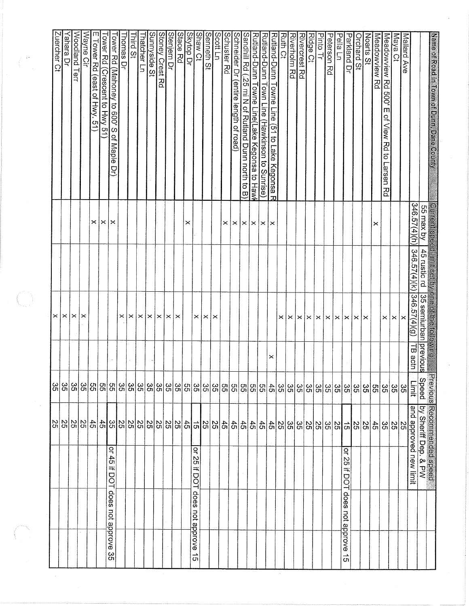|                                                           |                                                                               | ဌ               |         | $\times$              |                                                                                                      |              | Zuercher Ct                                                                                     |
|-----------------------------------------------------------|-------------------------------------------------------------------------------|-----------------|---------|-----------------------|------------------------------------------------------------------------------------------------------|--------------|-------------------------------------------------------------------------------------------------|
|                                                           | $\frac{4}{10} \frac{10}{10} \frac{10}{10} \frac{10}{10}$                      | ွ္တ             |         | ×                     |                                                                                                      |              |                                                                                                 |
|                                                           |                                                                               | ပ္ပ             |         | $\times$              |                                                                                                      |              | Yahara Dr                                                                                       |
|                                                           |                                                                               |                 |         |                       |                                                                                                      |              | Woodland Terr                                                                                   |
|                                                           |                                                                               | 35              |         | ×                     |                                                                                                      |              | Wayne Cir                                                                                       |
|                                                           |                                                                               |                 |         |                       |                                                                                                      | ×            | E Tower Rd<br>east of<br><b>Hwy. 51</b>                                                         |
|                                                           |                                                                               |                 |         |                       |                                                                                                      | ×            | $\frac{1}{2}$                                                                                   |
| $\vec{a}$<br>45<br>ᆍ<br>DOT<br>does not approve<br>ပ္ပ    |                                                                               | $\frac{35}{20}$ |         |                       |                                                                                                      | ×            | Tower Rd (Mahoney to 600' S<br><u>Tower Rd (Crescent to Hwy</u> 5 <sup>-</sup><br>of Maple<br>g |
|                                                           |                                                                               |                 |         | ×                     |                                                                                                      |              | homas Dr                                                                                        |
|                                                           |                                                                               |                 |         | $\times$              |                                                                                                      |              | hird St                                                                                         |
|                                                           |                                                                               | 'ထုတြ           |         | ∣×                    |                                                                                                      |              | Thatcher Ln                                                                                     |
|                                                           |                                                                               |                 |         |                       |                                                                                                      |              | Sunnyside<br>ă                                                                                  |
|                                                           |                                                                               | တ္ထုတ္ထု        |         |                       |                                                                                                      |              | <b>Stoney Crest Rd</b>                                                                          |
|                                                           |                                                                               | မ္မ             |         | x x                   |                                                                                                      |              | Stenjem Dr                                                                                      |
|                                                           |                                                                               | $\frac{8}{25}$  |         | $\times$              |                                                                                                      |              | Stace Rd                                                                                        |
|                                                           |                                                                               | SS              |         |                       |                                                                                                      | ×            | Skytop Dr                                                                                       |
| ٩<br>25<br>≕<br>DOT<br>does not approve<br>ີຕ             |                                                                               |                 |         | $\times$              |                                                                                                      |              | Shaw Ct                                                                                         |
|                                                           |                                                                               | တ္တုတ္တု        |         | $\mathord{\times}$    |                                                                                                      |              | Senneth St                                                                                      |
|                                                           |                                                                               |                 |         | $\boldsymbol{\times}$ |                                                                                                      |              | Scott Ln                                                                                        |
|                                                           |                                                                               |                 |         |                       |                                                                                                      | ×            | Schuster Rd                                                                                     |
|                                                           |                                                                               |                 |         |                       |                                                                                                      | $\times$     | Schneider Dr<br>(entire length of road)                                                         |
|                                                           | $\frac{45}{6}$                                                                | မြို့အခြားမြို့ |         |                       |                                                                                                      | $\times$     | Sandhill Rd<br>25 mi N of Rutland Dunn north to B)                                              |
|                                                           |                                                                               |                 |         |                       |                                                                                                      | $\times$     | Rutland-Dunn Towne Line(Lake Kegonsa to Hawl                                                    |
|                                                           | $\frac{18}{10} \frac{18}{10} \frac{18}{10} \frac{4}{10}$                      | $\frac{45}{50}$ |         |                       |                                                                                                      | $\times$     | Rutland-Dunn Town Line (Hawkinson to Sunrise)                                                   |
|                                                           |                                                                               |                 | ×       |                       |                                                                                                      | ∣×           | Rutland-Dunn Towne Line (51 to Lake Kegonsa R                                                   |
|                                                           |                                                                               | ္မြင္လ          |         | ×                     |                                                                                                      |              | <b>Rufin Ct</b>                                                                                 |
|                                                           |                                                                               |                 |         | $\times$              |                                                                                                      |              | Riverholm Rd                                                                                    |
|                                                           |                                                                               | မ္ကုမ္ကုမ္က     |         | $\mathord{\times}$    |                                                                                                      |              | Rivercrest Rd                                                                                   |
|                                                           | $\frac{25}{20}$                                                               |                 |         | $\mathsf{\times}$     |                                                                                                      |              | Ridge Ct                                                                                        |
|                                                           |                                                                               | 35              |         | $\mathord{\times}$    |                                                                                                      |              | <b>Pinto Tr</b>                                                                                 |
|                                                           | $\frac{8}{50}$                                                                | $\frac{8}{25}$  |         | $\times$              |                                                                                                      |              | Peterson<br>정                                                                                   |
|                                                           |                                                                               | 35              |         | $\times$              |                                                                                                      |              | Pella Ln                                                                                        |
| 윽<br>3S<br>≕<br>g<br>ᅱ<br>does<br>not approve<br>د.<br>Öī | 위원인                                                                           | ပ္ပ             |         | $\times$              |                                                                                                      |              | Parkland Dr                                                                                     |
|                                                           |                                                                               | တ္တိုက္တ        |         | $\times$              |                                                                                                      |              | Orchard St                                                                                      |
|                                                           |                                                                               |                 |         | ∣×                    |                                                                                                      |              | Noarts St                                                                                       |
|                                                           | $\ddot{5}$                                                                    | SS              |         |                       |                                                                                                      | ×            | Meadowview<br>R<br>S                                                                            |
|                                                           |                                                                               | ္တု             |         | $\times$              |                                                                                                      |              | Meadowview Rd<br>500'<br>Ш<br>of View Rd<br>$\vec{o}$<br>Larsen<br>Rά                           |
|                                                           | $\frac{25}{10}$ $\frac{25}{10}$                                               | ပ္တ             |         | $\times$              |                                                                                                      |              | Maya Ct                                                                                         |
|                                                           |                                                                               | 35              |         | ×                     |                                                                                                      |              | Mallard Ave                                                                                     |
| approved new limit                                        | and                                                                           | Limit           | TB actn | [346.57(4)(g)]        | 346.57(4)(k)                                                                                         | 346.57(4)(h) |                                                                                                 |
| ু∞                                                        | Previous Recommended speed<br>Speed   by Sheriff Dep. & PW<br>by Sheriff Dep. | Speed           |         |                       | Current speed limit set by one of the following.<br>55 max by   45 rustic rd   35 semiurban previous |              |                                                                                                 |
|                                                           |                                                                               |                 |         |                       |                                                                                                      |              | Name of Road in Town of Dunn, Dane County                                                       |

 $\begin{pmatrix} 1 & 0 \\ 0 & 1 \end{pmatrix}$ 

 $\label{eq:2} \mathcal{L}_{\text{max}}\left(\frac{1}{\sqrt{2}}\right) \mathcal{L}_{\text{max}}$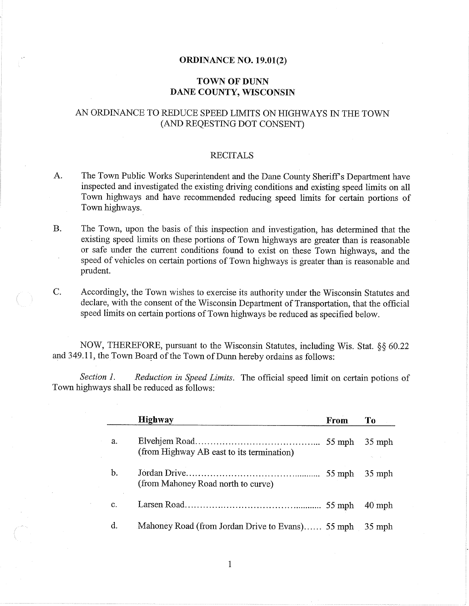#### **ORDINANCE NO. 19.01(2)**

## **TOWN OF DUNN** DANE COUNTY, WISCONSIN

# AN ORDINANCE TO REDUCE SPEED LIMITS ON HIGHWAYS IN THE TOWN (AND REQESTING DOT CONSENT)

#### **RECITALS**

- A. The Town Public Works Superintendent and the Dane County Sheriff's Department have inspected and investigated the existing driving conditions and existing speed limits on all Town highways and have recommended reducing speed limits for certain portions of Town highways.
- **B.** The Town, upon the basis of this inspection and investigation, has determined that the existing speed limits on these portions of Town highways are greater than is reasonable or safe under the current conditions found to exist on these Town highways, and the speed of vehicles on certain portions of Town highways is greater than is reasonable and prudent.
- $C_{\cdot}$ Accordingly, the Town wishes to exercise its authority under the Wisconsin Statutes and declare, with the consent of the Wisconsin Department of Transportation, that the official speed limits on certain portions of Town highways be reduced as specified below.

NOW, THEREFORE, pursuant to the Wisconsin Statutes, including Wis. Stat. §§ 60.22 and 349.11, the Town Board of the Town of Dunn hereby ordains as follows:

Section 1. *Reduction in Speed Limits.* The official speed limit on certain potions of Town highways shall be reduced as follows:

|    | <b>Highway</b>                                   | <b>From</b> | To       |
|----|--------------------------------------------------|-------------|----------|
| a. | (from Highway AB east to its termination)        |             | $35$ mph |
| b. | (from Mahoney Road north to curve)               | $55$ mph    | $35$ mph |
| c. |                                                  |             | $40$ mph |
| d. | Mahoney Road (from Jordan Drive to Evans) 55 mph |             | $35$ mph |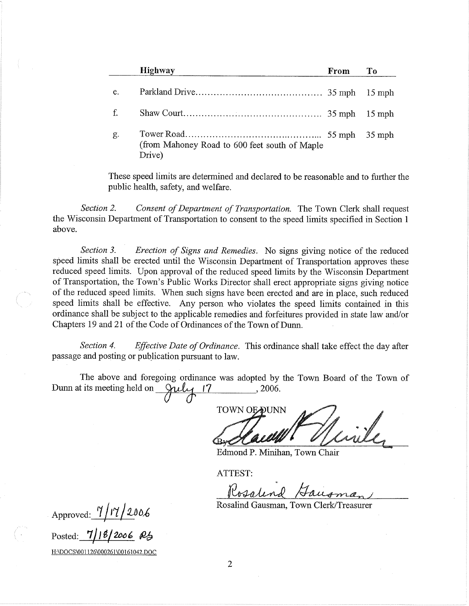|    | <b>Highway</b>                                          | From | To       |
|----|---------------------------------------------------------|------|----------|
| e. |                                                         |      |          |
| f. |                                                         |      |          |
| g. | (from Mahoney Road to 600 feet south of Maple<br>Drive) |      | $35$ mph |

These speed limits are determined and declared to be reasonable and to further the public health, safety, and welfare.

Section 2. Consent of Department of Transportation. The Town Clerk shall request the Wisconsin Department of Transportation to consent to the speed limits specified in Section 1 above.

Section 3. Erection of Signs and Remedies. No signs giving notice of the reduced speed limits shall be erected until the Wisconsin Department of Transportation approves these reduced speed limits. Upon approval of the reduced speed limits by the Wisconsin Department of Transportation, the Town's Public Works Director shall erect appropriate signs giving notice of the reduced speed limits. When such signs have been erected and are in place, such reduced speed limits shall be effective. Any person who violates the speed limits contained in this ordinance shall be subject to the applicable remedies and forfeitures provided in state law and/or Chapters 19 and 21 of the Code of Ordinances of the Town of Dunn.

Section 4. Effective Date of Ordinance. This ordinance shall take effect the day after passage and posting or publication pursuant to law.

The above and foregoing ordinance was adopted by the Town Board of the Town of July 17 Dunn at its meeting held on  $, 2006.$ 

**TOWN OEDUNN** 

Edmond P. Minihan, Town Chair

ATTEST:

Rosalend Gausma

Rosalind Gausman, Town Clerk/Treasurer

Approved:  $\frac{7}{17}/2006$ 

Posted:

H:\DOCS\001126\000261\00161042.DOC